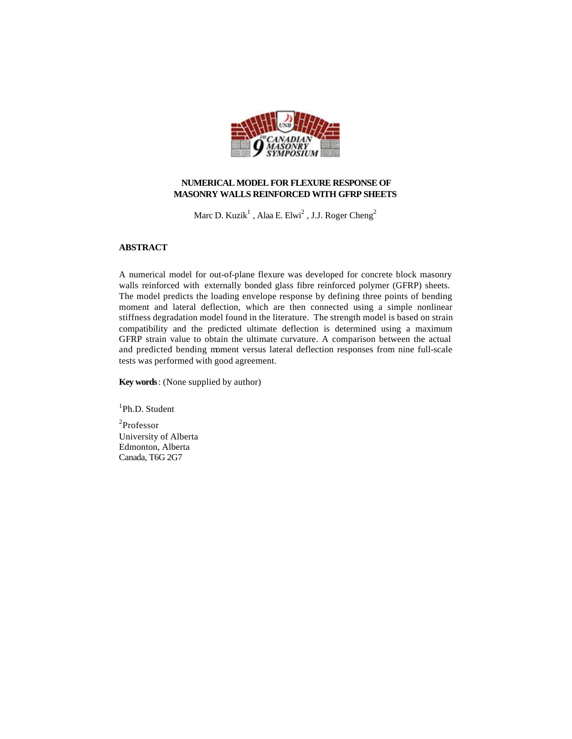

# **NUMERICAL MODEL FOR FLEXURE RESPONSE OF MASONRY WALLS REINFORCED WITH GFRP SHEETS**

Marc D. Kuzik $^1$  , Alaa E. Elwi $^2$  , J.J. Roger Cheng $^2$ 

# **ABSTRACT**

A numerical model for out-of-plane flexure was developed for concrete block masonry walls reinforced with externally bonded glass fibre reinforced polymer (GFRP) sheets. The model predicts the loading envelope response by defining three points of bending moment and lateral deflection, which are then connected using a simple nonlinear stiffness degradation model found in the literature. The strength model is based on strain compatibility and the predicted ultimate deflection is determined using a maximum GFRP strain value to obtain the ultimate curvature. A comparison between the actual and predicted bending moment versus lateral deflection responses from nine full-scale tests was performed with good agreement.

**Key words**: (None supplied by author)

1 Ph.D. Student

2 Professor University of Alberta Edmonton, Alberta Canada, T6G 2G7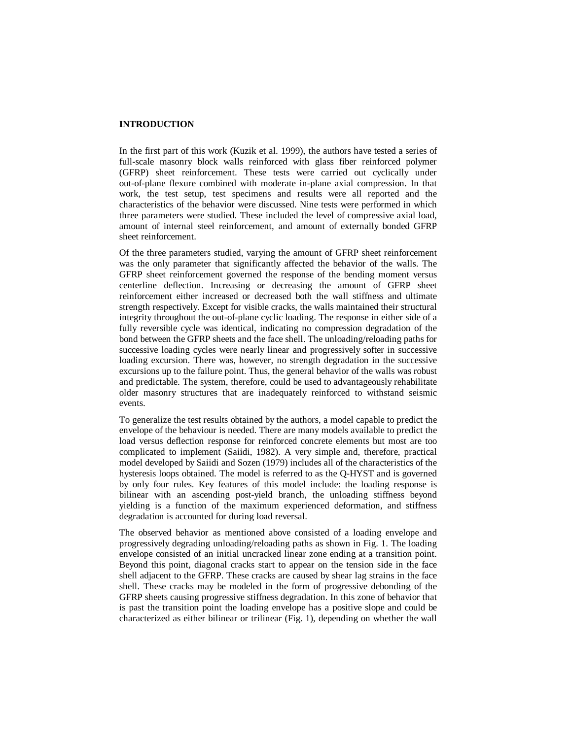# **INTRODUCTION**

In the first part of this work (Kuzik et al. 1999), the authors have tested a series of full-scale masonry block walls reinforced with glass fiber reinforced polymer (GFRP) sheet reinforcement. These tests were carried out cyclically under out-of-plane flexure combined with moderate in-plane axial compression. In that work, the test setup, test specimens and results were all reported and the characteristics of the behavior were discussed. Nine tests were performed in which three parameters were studied. These included the level of compressive axial load, amount of internal steel reinforcement, and amount of externally bonded GFRP sheet reinforcement.

Of the three parameters studied, varying the amount of GFRP sheet reinforcement was the only parameter that significantly affected the behavior of the walls. The GFRP sheet reinforcement governed the response of the bending moment versus centerline deflection. Increasing or decreasing the amount of GFRP sheet reinforcement either increased or decreased both the wall stiffness and ultimate strength respectively. Except for visible cracks, the walls maintained their structural integrity throughout the out-of-plane cyclic loading. The response in either side of a fully reversible cycle was identical, indicating no compression degradation of the bond between the GFRP sheets and the face shell. The unloading/reloading paths for successive loading cycles were nearly linear and progressively softer in successive loading excursion. There was, however, no strength degradation in the successive excursions up to the failure point. Thus, the general behavior of the walls was robust and predictable. The system, therefore, could be used to advantageously rehabilitate older masonry structures that are inadequately reinforced to withstand seismic events.

To generalize the test results obtained by the authors, a model capable to predict the envelope of the behaviour is needed. There are many models available to predict the load versus deflection response for reinforced concrete elements but most are too complicated to implement (Saiidi, 1982). A very simple and, therefore, practical model developed by Saiidi and Sozen (1979) includes all of the characteristics of the hysteresis loops obtained. The model is referred to as the Q-HYST and is governed by only four rules. Key features of this model include: the loading response is bilinear with an ascending post-yield branch, the unloading stiffness beyond yielding is a function of the maximum experienced deformation, and stiffness degradation is accounted for during load reversal.

The observed behavior as mentioned above consisted of a loading envelope and progressively degrading unloading/reloading paths as shown in Fig. 1. The loading envelope consisted of an initial uncracked linear zone ending at a transition point. Beyond this point, diagonal cracks start to appear on the tension side in the face shell adjacent to the GFRP. These cracks are caused by shear lag strains in the face shell. These cracks may be modeled in the form of progressive debonding of the GFRP sheets causing progressive stiffness degradation. In this zone of behavior that is past the transition point the loading envelope has a positive slope and could be characterized as either bilinear or trilinear (Fig. 1), depending on whether the wall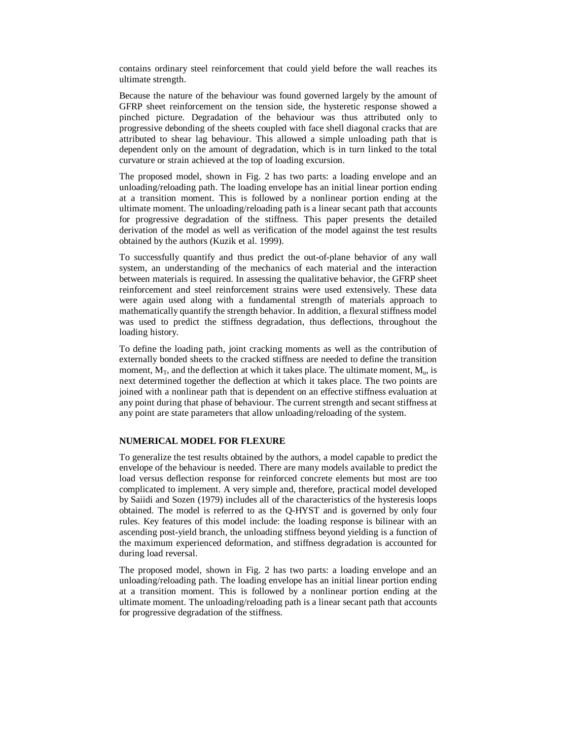contains ordinary steel reinforcement that could yield before the wall reaches its ultimate strength.

Because the nature of the behaviour was found governed largely by the amount of GFRP sheet reinforcement on the tension side, the hysteretic response showed a pinched picture. Degradation of the behaviour was thus attributed only to progressive debonding of the sheets coupled with face shell diagonal cracks that are attributed to shear lag behaviour. This allowed a simple unloading path that is dependent only on the amount of degradation, which is in turn linked to the total curvature or strain achieved at the top of loading excursion.

The proposed model, shown in Fig. 2 has two parts: a loading envelope and an unloading/reloading path. The loading envelope has an initial linear portion ending at a transition moment. This is followed by a nonlinear portion ending at the ultimate moment. The unloading/reloading path is a linear secant path that accounts for progressive degradation of the stiffness. This paper presents the detailed derivation of the model as well as verification of the model against the test results obtained by the authors (Kuzik et al. 1999).

To successfully quantify and thus predict the out-of-plane behavior of any wall system, an understanding of the mechanics of each material and the interaction between materials is required. In assessing the qualitative behavior, the GFRP sheet reinforcement and steel reinforcement strains were used extensively. These data were again used along with a fundamental strength of materials approach to mathematically quantify the strength behavior. In addition, a flexural stiffness model was used to predict the stiffness degradation, thus deflections, throughout the loading history.

To define the loading path, joint cracking moments as well as the contribution of externally bonded sheets to the cracked stiffness are needed to define the transition moment,  $M_T$ , and the deflection at which it takes place. The ultimate moment,  $M_u$ , is next determined together the deflection at which it takes place. The two points are joined with a nonlinear path that is dependent on an effective stiffness evaluation at any point during that phase of behaviour. The current strength and secant stiffness at any point are state parameters that allow unloading/reloading of the system.

## **NUMERICAL MODEL FOR FLEXURE**

To generalize the test results obtained by the authors, a model capable to predict the envelope of the behaviour is needed. There are many models available to predict the load versus deflection response for reinforced concrete elements but most are too complicated to implement. A very simple and, therefore, practical model developed by Saiidi and Sozen (1979) includes all of the characteristics of the hysteresis loops obtained. The model is referred to as the Q-HYST and is governed by only four rules. Key features of this model include: the loading response is bilinear with an ascending post-yield branch, the unloading stiffness beyond yielding is a function of the maximum experienced deformation, and stiffness degradation is accounted for during load reversal.

The proposed model, shown in Fig. 2 has two parts: a loading envelope and an unloading/reloading path. The loading envelope has an initial linear portion ending at a transition moment. This is followed by a nonlinear portion ending at the ultimate moment. The unloading/reloading path is a linear secant path that accounts for progressive degradation of the stiffness.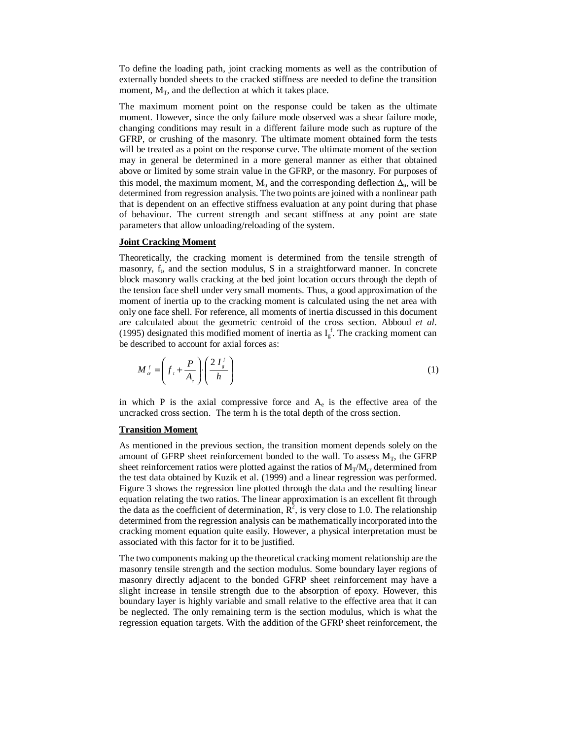To define the loading path, joint cracking moments as well as the contribution of externally bonded sheets to the cracked stiffness are needed to define the transition moment,  $M_T$ , and the deflection at which it takes place.

The maximum moment point on the response could be taken as the ultimate moment. However, since the only failure mode observed was a shear failure mode, changing conditions may result in a different failure mode such as rupture of the GFRP, or crushing of the masonry. The ultimate moment obtained form the tests will be treated as a point on the response curve. The ultimate moment of the section may in general be determined in a more general manner as either that obtained above or limited by some strain value in the GFRP, or the masonry. For purposes of this model, the maximum moment,  $M_u$  and the corresponding deflection  $\Delta_u$ , will be determined from regression analysis. The two points are joined with a nonlinear path that is dependent on an effective stiffness evaluation at any point during that phase of behaviour. The current strength and secant stiffness at any point are state parameters that allow unloading/reloading of the system.

### **Joint Cracking Moment**

Theoretically, the cracking moment is determined from the tensile strength of masonry,  $f_i$ , and the section modulus, S in a straightforward manner. In concrete block masonry walls cracking at the bed joint location occurs through the depth of the tension face shell under very small moments. Thus, a good approximation of the moment of inertia up to the cracking moment is calculated using the net area with only one face shell. For reference, all moments of inertia discussed in this document are calculated about the geometric centroid of the cross section. Abboud *et al*. (1995) designated this modified moment of inertia as  $I_g^f$ . The cracking moment can be described to account for axial forces as:

$$
M_{cr}^f = \left(f_t + \frac{P}{A_e}\right) \left(\frac{2 I_s^f}{h}\right) \tag{1}
$$

in which P is the axial compressive force and  $A<sub>e</sub>$  is the effective area of the uncracked cross section. The term h is the total depth of the cross section.

### **Transition Moment**

As mentioned in the previous section, the transition moment depends solely on the amount of GFRP sheet reinforcement bonded to the wall. To assess  $M_T$ , the GFRP sheet reinforcement ratios were plotted against the ratios of  $M_T/M_{cr}$  determined from the test data obtained by Kuzik et al. (1999) and a linear regression was performed. Figure 3 shows the regression line plotted through the data and the resulting linear equation relating the two ratios. The linear approximation is an excellent fit through the data as the coefficient of determination,  $R^2$ , is very close to 1.0. The relationship determined from the regression analysis can be mathematically incorporated into the cracking moment equation quite easily. However, a physical interpretation must be associated with this factor for it to be justified.

The two components making up the theoretical cracking moment relationship are the masonry tensile strength and the section modulus. Some boundary layer regions of masonry directly adjacent to the bonded GFRP sheet reinforcement may have a slight increase in tensile strength due to the absorption of epoxy. However, this boundary layer is highly variable and small relative to the effective area that it can be neglected. The only remaining term is the section modulus, which is what the regression equation targets. With the addition of the GFRP sheet reinforcement, the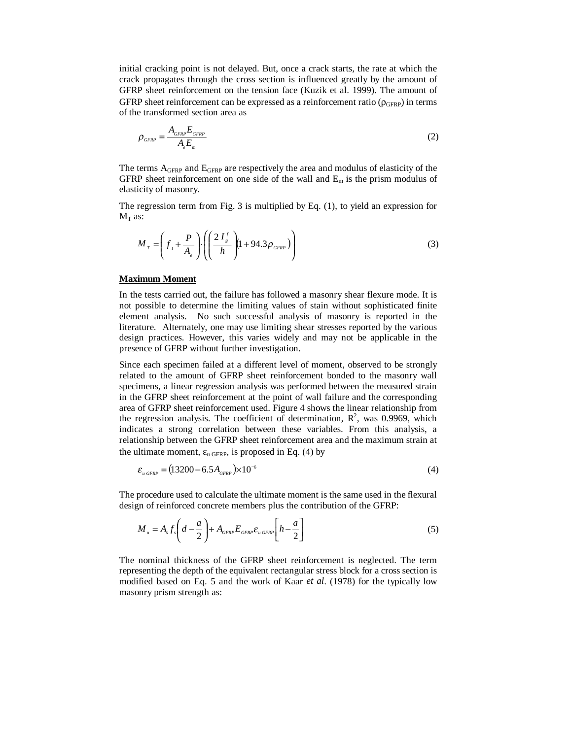initial cracking point is not delayed. But, once a crack starts, the rate at which the crack propagates through the cross section is influenced greatly by the amount of GFRP sheet reinforcement on the tension face (Kuzik et al. 1999). The amount of GFRP sheet reinforcement can be expressed as a reinforcement ratio ( $\rho_{\text{GFRP}}$ ) in terms of the transformed section area as

$$
\rho_{\scriptscriptstyle GFRP} = \frac{A_{\scriptscriptstyle GFRP} E_{\scriptscriptstyle GFRP}}{A_e E_{\scriptscriptstyle m}}
$$
\n(2)

The terms AGFRP and EGFRP are respectively the area and modulus of elasticity of the GFRP sheet reinforcement on one side of the wall and  $E_m$  is the prism modulus of elasticity of masonry.

The regression term from Fig. 3 is multiplied by Eq. (1), to yield an expression for  $M_T$  as:

$$
M_{T} = \left(f_{t} + \frac{P}{A_{e}}\right) \cdot \left( \left(\frac{2 I_{s}^{f}}{h}\right) \left(1 + 94.3 \rho_{GFRP}\right) \right)
$$
 (3)

#### **Maximum Moment**

In the tests carried out, the failure has followed a masonry shear flexure mode. It is not possible to determine the limiting values of stain without sophisticated finite element analysis. No such successful analysis of masonry is reported in the literature. Alternately, one may use limiting shear stresses reported by the various design practices. However, this varies widely and may not be applicable in the presence of GFRP without further investigation.

Since each specimen failed at a different level of moment, observed to be strongly related to the amount of GFRP sheet reinforcement bonded to the masonry wall specimens, a linear regression analysis was performed between the measured strain in the GFRP sheet reinforcement at the point of wall failure and the corresponding area of GFRP sheet reinforcement used. Figure 4 shows the linear relationship from the regression analysis. The coefficient of determination,  $R^2$ , was 0.9969, which indicates a strong correlation between these variables. From this analysis, a relationship between the GFRP sheet reinforcement area and the maximum strain at the ultimate moment,  $\varepsilon_u$  GFRP, is proposed in Eq. (4) by

$$
\varepsilon_{u\,GFRP} = (13200 - 6.5A_{GFRP}) \times 10^{-6} \tag{4}
$$

The procedure used to calculate the ultimate moment is the same used in the flexural design of reinforced concrete members plus the contribution of the GFRP:

$$
M_{u} = A_{s} f_{s} \left( d - \frac{a}{2} \right) + A_{GFRP} E_{GFRP} \left[ h - \frac{a}{2} \right]
$$
 (5)

The nominal thickness of the GFRP sheet reinforcement is neglected. The term representing the depth of the equivalent rectangular stress block for a cross section is modified based on Eq. 5 and the work of Kaar *et al*. (1978) for the typically low masonry prism strength as: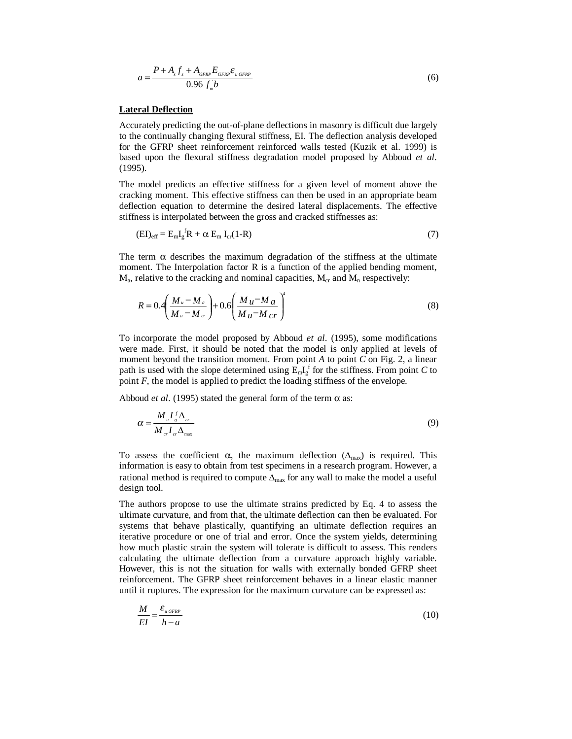$$
a = \frac{P + A_s f_s + A_{GFRP} E_{GFRP} \varepsilon_{u GFRP}}{0.96 f_n b}
$$
 (6)

### **Lateral Deflection**

Accurately predicting the out-of-plane deflections in masonry is difficult due largely to the continually changing flexural stiffness, EI. The deflection analysis developed for the GFRP sheet reinforcement reinforced walls tested (Kuzik et al. 1999) is based upon the flexural stiffness degradation model proposed by Abboud *et al*. (1995).

The model predicts an effective stiffness for a given level of moment above the cracking moment. This effective stiffness can then be used in an appropriate beam deflection equation to determine the desired lateral displacements. The effective stiffness is interpolated between the gross and cracked stiffnesses as:

$$
(EI)_{\text{eff}} = E_{m}I_{g}^{f}R + \alpha E_{m}I_{cr}(1-R)
$$
\n(7)

The term  $\alpha$  describes the maximum degradation of the stiffness at the ultimate moment. The Interpolation factor R is a function of the applied bending moment,  $M_a$ , relative to the cracking and nominal capacities,  $M_{cr}$  and  $M_n$  respectively:

$$
R = 0.4 \left( \frac{M_u - M_a}{M_u - M_{cr}} \right) + 0.6 \left( \frac{M_u - M_a}{M_u - M_{cr}} \right)^4 \tag{8}
$$

To incorporate the model proposed by Abboud *et al*. (1995), some modifications were made. First, it should be noted that the model is only applied at levels of moment beyond the transition moment. From point *A* to point *C* on Fig. 2, a linear path is used with the slope determined using  $E_m I_g^{\{f\}}$  for the stiffness. From point *C* to point *F*, the model is applied to predict the loading stiffness of the envelope.

Abboud *et al.* (1995) stated the general form of the term  $\alpha$  as:

$$
\alpha = \frac{M_u I_s^f \Delta_{cr}}{M_{cr} I_{cr} \Delta_{\text{max}}}
$$
(9)

To assess the coefficient  $\alpha$ , the maximum deflection ( $\Delta_{\text{max}}$ ) is required. This information is easy to obtain from test specimens in a research program. However, a rational method is required to compute  $\Delta_{\text{max}}$  for any wall to make the model a useful design tool.

The authors propose to use the ultimate strains predicted by Eq. 4 to assess the ultimate curvature, and from that, the ultimate deflection can then be evaluated. For systems that behave plastically, quantifying an ultimate deflection requires an iterative procedure or one of trial and error. Once the system yields, determining how much plastic strain the system will tolerate is difficult to assess. This renders calculating the ultimate deflection from a curvature approach highly variable. However, this is not the situation for walls with externally bonded GFRP sheet reinforcement. The GFRP sheet reinforcement behaves in a linear elastic manner until it ruptures. The expression for the maximum curvature can be expressed as:

$$
\frac{M}{EI} = \frac{\varepsilon_{\text{u GFRP}}}{h - a} \tag{10}
$$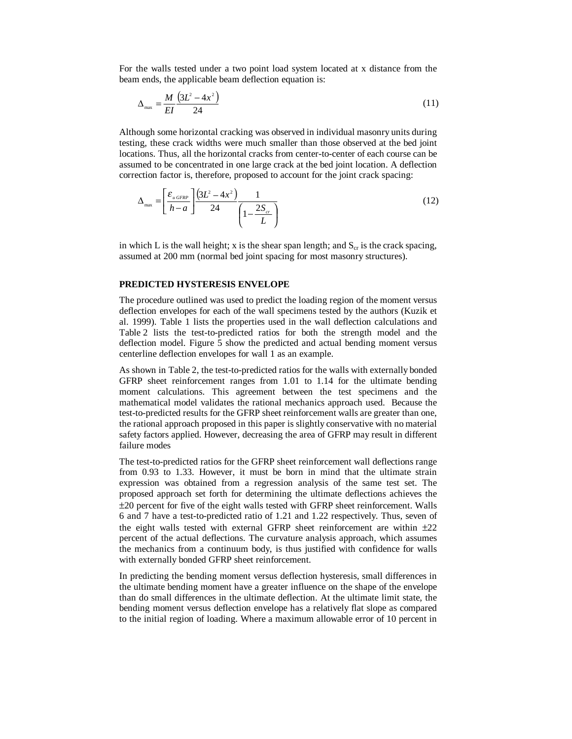For the walls tested under a two point load system located at x distance from the beam ends, the applicable beam deflection equation is:

$$
\Delta_{\max} = \frac{M}{EI} \frac{\left(3L^2 - 4x^2\right)}{24} \tag{11}
$$

Although some horizontal cracking was observed in individual masonry units during testing, these crack widths were much smaller than those observed at the bed joint locations. Thus, all the horizontal cracks from center-to-center of each course can be assumed to be concentrated in one large crack at the bed joint location. A deflection correction factor is, therefore, proposed to account for the joint crack spacing:

$$
\Delta_{\max} = \left[\frac{\varepsilon_{\text{u GFRP}}}{h-a}\right] \frac{\left(3L^2 - 4x^2\right)}{24} \frac{1}{\left(1 - \frac{2S_{cr}}{L}\right)}\tag{12}
$$

in which L is the wall height; x is the shear span length; and  $S_{cr}$  is the crack spacing, assumed at 200 mm (normal bed joint spacing for most masonry structures).

# **PREDICTED HYSTERESIS ENVELOPE**

The procedure outlined was used to predict the loading region of the moment versus deflection envelopes for each of the wall specimens tested by the authors (Kuzik et al. 1999). Table 1 lists the properties used in the wall deflection calculations and Table 2 lists the test-to-predicted ratios for both the strength model and the deflection model. Figure 5 show the predicted and actual bending moment versus centerline deflection envelopes for wall 1 as an example.

As shown in Table 2, the test-to-predicted ratios for the walls with externally bonded GFRP sheet reinforcement ranges from 1.01 to 1.14 for the ultimate bending moment calculations. This agreement between the test specimens and the mathematical model validates the rational mechanics approach used. Because the test-to-predicted results for the GFRP sheet reinforcement walls are greater than one, the rational approach proposed in this paper is slightly conservative with no material safety factors applied. However, decreasing the area of GFRP may result in different failure modes

The test-to-predicted ratios for the GFRP sheet reinforcement wall deflections range from 0.93 to 1.33. However, it must be born in mind that the ultimate strain expression was obtained from a regression analysis of the same test set. The proposed approach set forth for determining the ultimate deflections achieves the ±20 percent for five of the eight walls tested with GFRP sheet reinforcement. Walls 6 and 7 have a test-to-predicted ratio of 1.21 and 1.22 respectively. Thus, seven of the eight walls tested with external GFRP sheet reinforcement are within  $\pm 22$ percent of the actual deflections. The curvature analysis approach, which assumes the mechanics from a continuum body, is thus justified with confidence for walls with externally bonded GFRP sheet reinforcement.

In predicting the bending moment versus deflection hysteresis, small differences in the ultimate bending moment have a greater influence on the shape of the envelope than do small differences in the ultimate deflection. At the ultimate limit state, the bending moment versus deflection envelope has a relatively flat slope as compared to the initial region of loading. Where a maximum allowable error of 10 percent in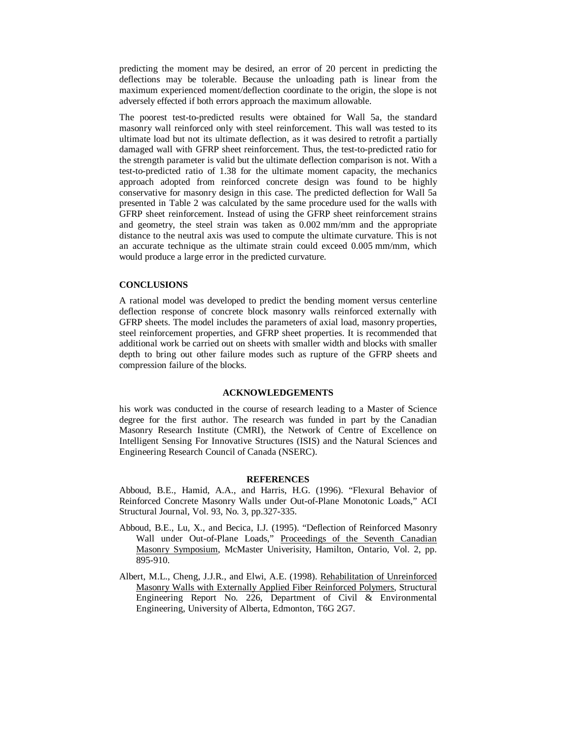predicting the moment may be desired, an error of 20 percent in predicting the deflections may be tolerable. Because the unloading path is linear from the maximum experienced moment/deflection coordinate to the origin, the slope is not adversely effected if both errors approach the maximum allowable.

The poorest test-to-predicted results were obtained for Wall 5a, the standard masonry wall reinforced only with steel reinforcement. This wall was tested to its ultimate load but not its ultimate deflection, as it was desired to retrofit a partially damaged wall with GFRP sheet reinforcement. Thus, the test-to-predicted ratio for the strength parameter is valid but the ultimate deflection comparison is not. With a test-to-predicted ratio of 1.38 for the ultimate moment capacity, the mechanics approach adopted from reinforced concrete design was found to be highly conservative for masonry design in this case. The predicted deflection for Wall 5a presented in Table 2 was calculated by the same procedure used for the walls with GFRP sheet reinforcement. Instead of using the GFRP sheet reinforcement strains and geometry, the steel strain was taken as 0.002 mm/mm and the appropriate distance to the neutral axis was used to compute the ultimate curvature. This is not an accurate technique as the ultimate strain could exceed 0.005 mm/mm, which would produce a large error in the predicted curvature.

### **CONCLUSIONS**

A rational model was developed to predict the bending moment versus centerline deflection response of concrete block masonry walls reinforced externally with GFRP sheets. The model includes the parameters of axial load, masonry properties, steel reinforcement properties, and GFRP sheet properties. It is recommended that additional work be carried out on sheets with smaller width and blocks with smaller depth to bring out other failure modes such as rupture of the GFRP sheets and compression failure of the blocks.

#### **ACKNOWLEDGEMENTS**

his work was conducted in the course of research leading to a Master of Science degree for the first author. The research was funded in part by the Canadian Masonry Research Institute (CMRI), the Network of Centre of Excellence on Intelligent Sensing For Innovative Structures (ISIS) and the Natural Sciences and Engineering Research Council of Canada (NSERC).

#### **REFERENCES**

Abboud, B.E., Hamid, A.A., and Harris, H.G. (1996). "Flexural Behavior of Reinforced Concrete Masonry Walls under Out-of-Plane Monotonic Loads," ACI Structural Journal, Vol. 93, No. 3, pp.327-335.

- Abboud, B.E., Lu, X., and Becica, I.J. (1995). "Deflection of Reinforced Masonry Wall under Out-of-Plane Loads," Proceedings of the Seventh Canadian Masonry Symposium, McMaster Univerisity, Hamilton, Ontario, Vol. 2, pp. 895-910.
- Albert, M.L., Cheng, J.J.R., and Elwi, A.E. (1998). Rehabilitation of Unreinforced Masonry Walls with Externally Applied Fiber Reinforced Polymers, Structural Engineering Report No. 226, Department of Civil & Environmental Engineering, University of Alberta, Edmonton, T6G 2G7.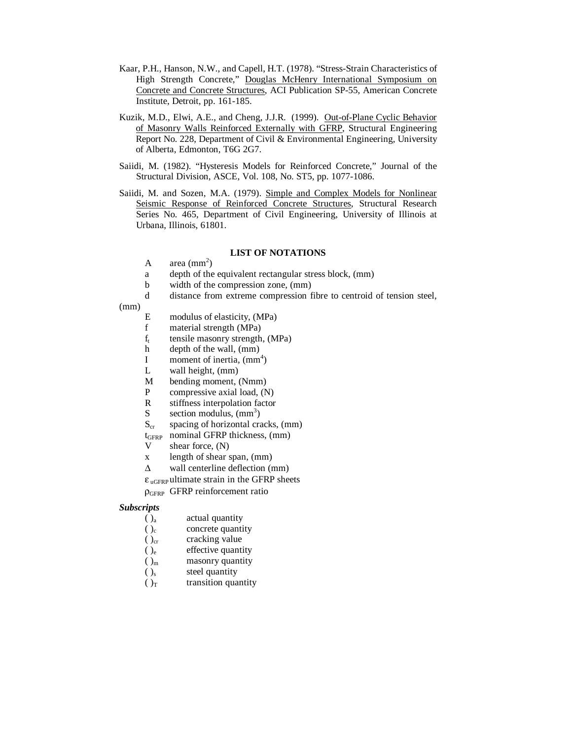- Kaar, P.H., Hanson, N.W., and Capell, H.T. (1978). "Stress-Strain Characteristics of High Strength Concrete," Douglas McHenry International Symposium on Concrete and Concrete Structures, ACI Publication SP-55, American Concrete Institute, Detroit, pp. 161-185.
- Kuzik, M.D., Elwi, A.E., and Cheng, J.J.R. (1999). Out-of-Plane Cyclic Behavior of Masonry Walls Reinforced Externally with GFRP, Structural Engineering Report No. 228, Department of Civil & Environmental Engineering, University of Alberta, Edmonton, T6G 2G7.
- Saiidi, M. (1982). "Hysteresis Models for Reinforced Concrete," Journal of the Structural Division, ASCE, Vol. 108, No. ST5, pp. 1077-1086.
- Saiidi, M. and Sozen, M.A. (1979). Simple and Complex Models for Nonlinear Seismic Response of Reinforced Concrete Structures, Structural Research Series No. 465, Department of Civil Engineering, University of Illinois at Urbana, Illinois, 61801.

### **LIST OF NOTATIONS**

- A  $area (mm<sup>2</sup>)$
- a depth of the equivalent rectangular stress block, (mm)
- b width of the compression zone, (mm)
- d distance from extreme compression fibre to centroid of tension steel,
- (mm)
- E modulus of elasticity, (MPa)
- f material strength (MPa)<br> $f_t$  tensile masonry strength.
- $f_t$  tensile masonry strength, (MPa)<br>h depth of the wall, (mm)
- depth of the wall, (mm)
- I moment of inertia,  $\text{(mm}^4)$
- L wall height, (mm)
- M bending moment, (Nmm)
- P compressive axial load, (N)
- R stiffness interpolation factor
- S section modulus,  $(mm<sup>3</sup>)$
- $S_{cr}$  spacing of horizontal cracks, (mm)
- tGFRP nominal GFRP thickness, (mm)
- V shear force, (N)
- x length of shear span, (mm)
- $\Delta$  wall centerline deflection (mm)
- $\epsilon_{\text{uGFRP}}$  ultimate strain in the GFRP sheets

ρGFRP GFRP reinforcement ratio

### *Subscripts*

- $()<sub>a</sub>$  actual quantity
- $()_c$  concrete quantity
- $()_{\text{cr}}$  cracking value<br>  $()_{\text{e}}$  effective quanti
- effective quantity
- $()_{m}$  masonry quantity
- $()_{s}$  steel quantity
- $()$ <sup>T</sup> transition quantity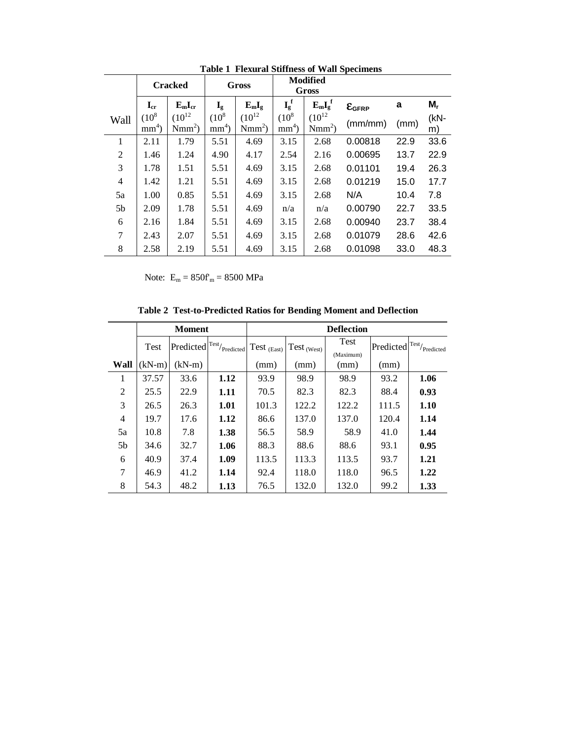|                | <b>Cracked</b>       |                        | Gross                   |                        | <b>Modified</b><br>Gross |                        |                            |      |        |
|----------------|----------------------|------------------------|-------------------------|------------------------|--------------------------|------------------------|----------------------------|------|--------|
|                | $I_{cr}$             | $E_mI_{cr}$            | $\mathbf{I}_{\text{g}}$ | $E_{m}I_{g}$           | $I_g^f$                  | $E_mI_g^f$             | $\epsilon$ <sub>GFRP</sub> | a    | $M_r$  |
| Wall           | $(10^{8}$<br>$mm4$ ) | $(10^{12}$<br>$Nmm2$ ) | $(10^8$<br>$mm4$ )      | $(10^{12}$<br>$Nmm2$ ) | $(10^8)$<br>$mm4$ )      | $(10^{12}$<br>$Nmm2$ ) | (mm/mm)                    | (mm) | $(kN-$ |
|                |                      |                        |                         |                        |                          |                        |                            |      | m)     |
| 1              | 2.11                 | 1.79                   | 5.51                    | 4.69                   | 3.15                     | 2.68                   | 0.00818                    | 22.9 | 33.6   |
| 2              | 1.46                 | 1.24                   | 4.90                    | 4.17                   | 2.54                     | 2.16                   | 0.00695                    | 13.7 | 22.9   |
| 3              | 1.78                 | 1.51                   | 5.51                    | 4.69                   | 3.15                     | 2.68                   | 0.01101                    | 19.4 | 26.3   |
| $\overline{4}$ | 1.42                 | 1.21                   | 5.51                    | 4.69                   | 3.15                     | 2.68                   | 0.01219                    | 15.0 | 17.7   |
| 5a             | 1.00                 | 0.85                   | 5.51                    | 4.69                   | 3.15                     | 2.68                   | N/A                        | 10.4 | 7.8    |
| 5 <sub>b</sub> | 2.09                 | 1.78                   | 5.51                    | 4.69                   | n/a                      | n/a                    | 0.00790                    | 22.7 | 33.5   |
| 6              | 2.16                 | 1.84                   | 5.51                    | 4.69                   | 3.15                     | 2.68                   | 0.00940                    | 23.7 | 38.4   |
| 7              | 2.43                 | 2.07                   | 5.51                    | 4.69                   | 3.15                     | 2.68                   | 0.01079                    | 28.6 | 42.6   |
| 8              | 2.58                 | 2.19                   | 5.51                    | 4.69                   | 3.15                     | 2.68                   | 0.01098                    | 33.0 | 48.3   |

**Table 1 Flexural Stiffness of Wall Specimens** 

Note:  $E_m = 850f_m = 8500 \text{ MPa}$ 

**Table 2 Test-to-Predicted Ratios for Bending Moment and Deflection** 

|                |          | <b>Moment</b> |                                                                | <b>Deflection</b> |                 |           |                  |           |  |  |
|----------------|----------|---------------|----------------------------------------------------------------|-------------------|-----------------|-----------|------------------|-----------|--|--|
|                | Test     | Predicted     | $\mathbf{1}^{\text{Test}}\hspace{-0.03cm}/_{\text{Predicted}}$ | Test $_{(East)}$  | $Test_{(West)}$ | Test      | Predicted Test/r | Predicted |  |  |
|                |          |               |                                                                |                   |                 | (Maximum) |                  |           |  |  |
| Wall           | $(kN-m)$ | $(kN-m)$      |                                                                | (mm)              | (mm)            | (mm)      | (mm)             |           |  |  |
| 1              | 37.57    | 33.6          | 1.12                                                           | 93.9              | 98.9            | 98.9      | 93.2             | 1.06      |  |  |
| 2              | 25.5     | 22.9          | 1.11                                                           | 70.5              | 82.3            | 82.3      | 88.4             | 0.93      |  |  |
| 3              | 26.5     | 26.3          | 1.01                                                           | 101.3             | 122.2           | 122.2     | 111.5            | 1.10      |  |  |
| $\overline{4}$ | 19.7     | 17.6          | 1.12                                                           | 86.6              | 137.0           | 137.0     | 120.4            | 1.14      |  |  |
| 5a             | 10.8     | 7.8           | 1.38                                                           | 56.5              | 58.9            | 58.9      | 41.0             | 1.44      |  |  |
| 5 <sub>b</sub> | 34.6     | 32.7          | 1.06                                                           | 88.3              | 88.6            | 88.6      | 93.1             | 0.95      |  |  |
| 6              | 40.9     | 37.4          | 1.09                                                           | 113.5             | 113.3           | 113.5     | 93.7             | 1.21      |  |  |
| 7              | 46.9     | 41.2          | 1.14                                                           | 92.4              | 118.0           | 118.0     | 96.5             | 1.22      |  |  |
| 8              | 54.3     | 48.2          | 1.13                                                           | 76.5              | 132.0           | 132.0     | 99.2             | 1.33      |  |  |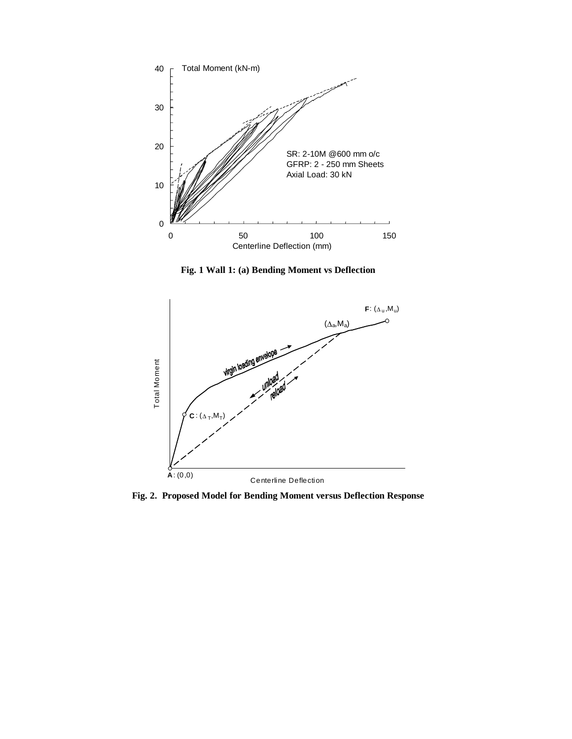

**Fig. 1 Wall 1: (a) Bending Moment vs Deflection** 



**Fig. 2. Proposed Model for Bending Moment versus Deflection Response**